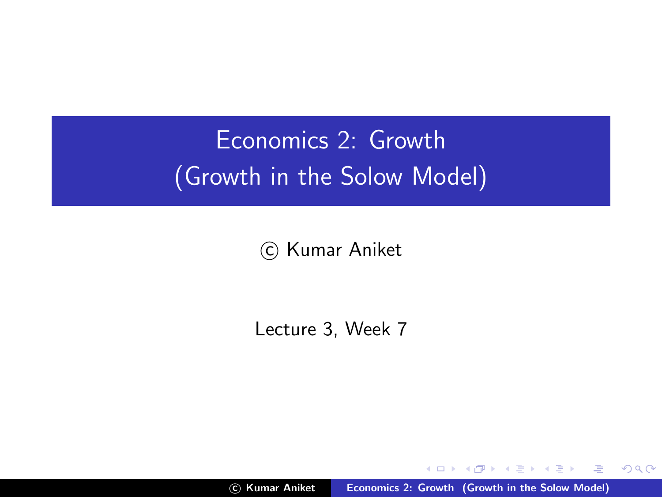# Economics 2: Growth (Growth in the Solow Model)

(c) Kumar Aniket

Lecture 3, Week 7

c Kumar Aniket [Economics 2: Growth \(Growth in the Solow Model\)](#page-35-0)

a mills.

<span id="page-0-0"></span>哇

御 ▶ イヨ ▶ イヨ ▶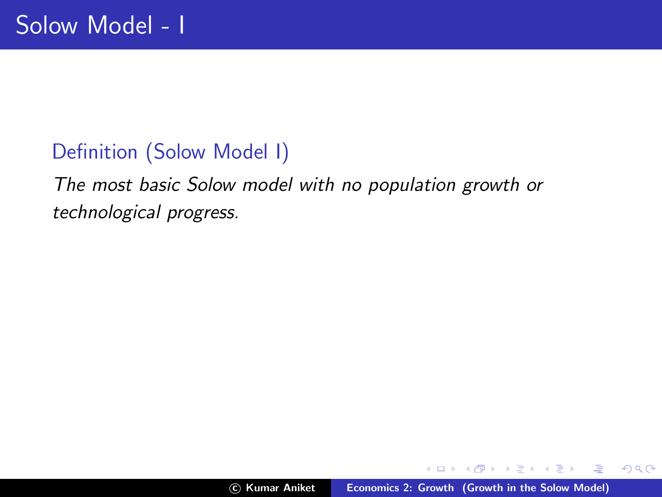### Definition (Solow Model I)

The most basic Solow model with no population growth or technological progress.

 $4.171$ 

御 ▶ ス ヨ ▶ ス ヨ ▶

哇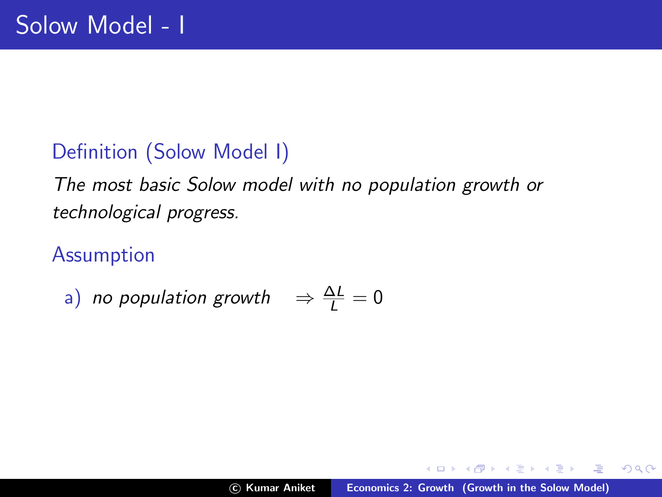### Definition (Solow Model I)

The most basic Solow model with no population growth or technological progress.

#### Assumption

a) no population growth 
$$
\Rightarrow \frac{\Delta L}{L} = 0
$$

 $4.171$ 

御 ▶ ス ヨ ▶ ス ヨ ▶

哇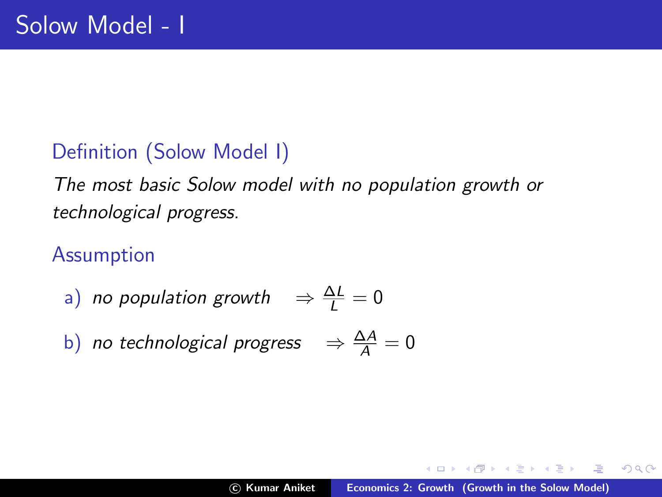### Definition (Solow Model I)

The most basic Solow model with no population growth or technological progress.

#### Assumption

- a) no population growth  $\Rightarrow \frac{\Delta L}{L} = 0$
- b) no technological progress  $\Rightarrow \frac{\Delta A}{A} = 0$

イ押 トライモ トラモト

哇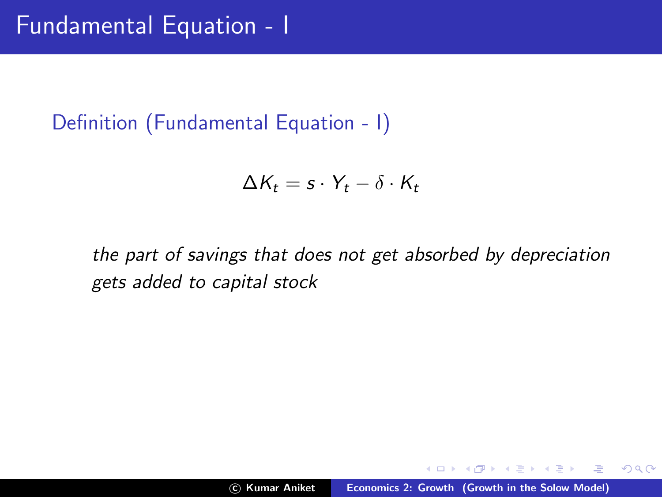#### Definition (Fundamental Equation - I)

$$
\Delta K_t = s \cdot Y_t - \delta \cdot K_t
$$

the part of savings that does not get absorbed by depreciation gets added to capital stock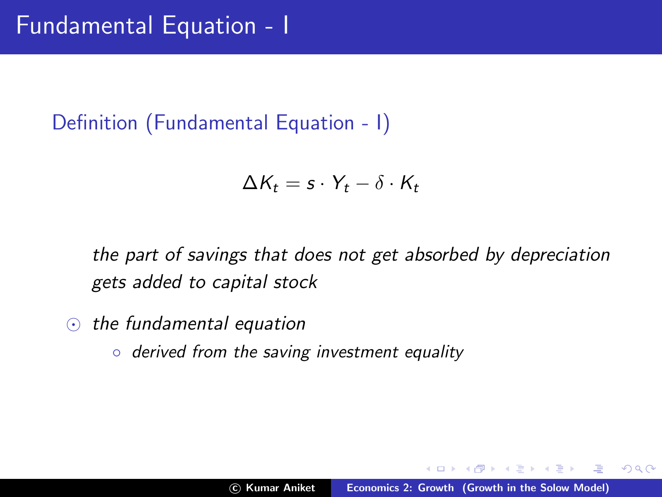#### Definition (Fundamental Equation - I)

$$
\Delta K_t = s \cdot Y_t - \delta \cdot K_t
$$

the part of savings that does not get absorbed by depreciation gets added to capital stock

- $\odot$  the fundamental equation
	- derived from the saving investment equality

 $\Omega$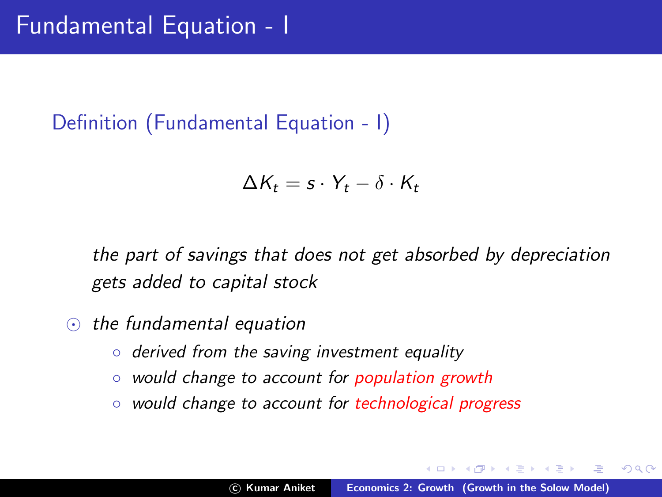#### Definition (Fundamental Equation - I)

$$
\Delta K_t = s \cdot Y_t - \delta \cdot K_t
$$

the part of savings that does not get absorbed by depreciation gets added to capital stock

- $\odot$  the fundamental equation
	- derived from the saving investment equality
	- would change to account for population growth
	- would change to account for technological progress

へのへ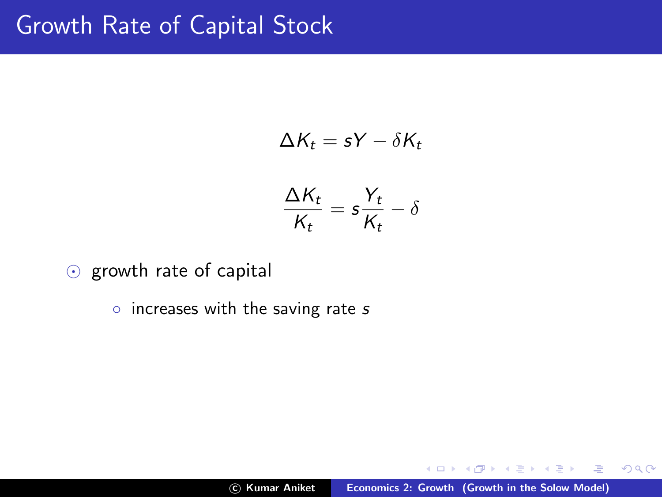# Growth Rate of Capital Stock

$$
\Delta K_t = sY - \delta K_t
$$

$$
\frac{\Delta K_t}{K_t} = s\frac{Y_t}{K_t} - \delta
$$

 $\odot$  growth rate of capital

 $\circ$  increases with the saving rate  $s$ 

a mills.

メ 御 ト メ ヨ ト メ ヨ ト

哇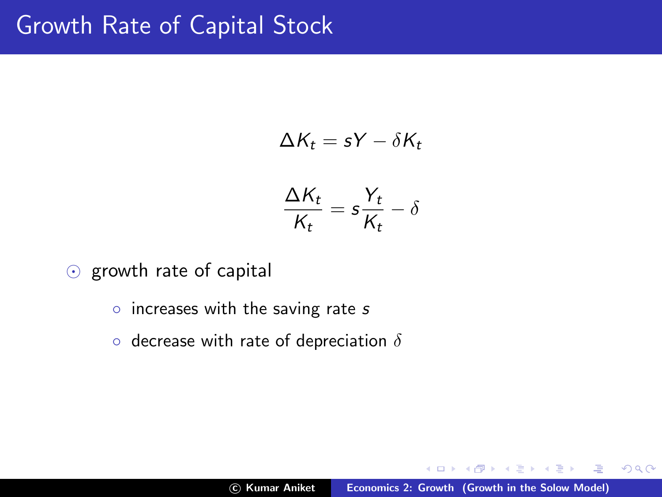# Growth Rate of Capital Stock

$$
\Delta K_t = sY - \delta K_t
$$
  

$$
\Delta K_t \qquad Y_t
$$

$$
\frac{\Delta K_t}{K_t} = s \frac{Y_t}{K_t} - \delta
$$

- $\odot$  growth rate of capital
	- $\circ$  increases with the saving rate  $s$
	- $\circ$  decrease with rate of depreciation  $\delta$

 $4.17 \pm 1.0$ 

御 ▶ イヨ ▶ イヨ ▶

 $2Q$ 

哇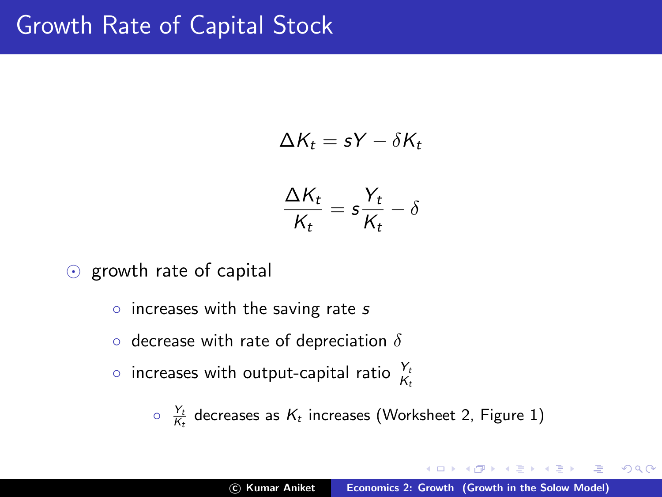# Growth Rate of Capital Stock

$$
\Delta K_t = sY - \delta K_t
$$

$$
\frac{\Delta K_t}{K_t} = s\frac{Y_t}{K_t} - \delta
$$

- $\odot$  growth rate of capital
	- $\circ$  increases with the saving rate s
	- $\circ$  decrease with rate of depreciation  $\delta$
	- $\circ$  increases with output-capital ratio  $\frac{Y_t}{K_t}$

 $\circ$   $\frac{Y_t}{K_t}$  decreases as  $K_t$  increases (Worksheet 2, Figure 1)

 $2Q$ 

**Alberta Ba**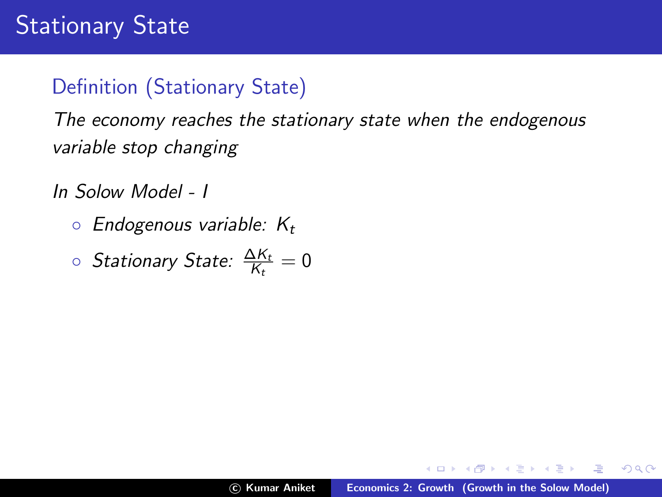### Definition (Stationary State)

The economy reaches the stationary state when the endogenous variable stop changing

In Solow Model - I

 $\circ$  Endogenous variable:  $K_t$ 

$$
\circ \text{ Stationary State: } \tfrac{\Delta K_t}{K_t} = 0
$$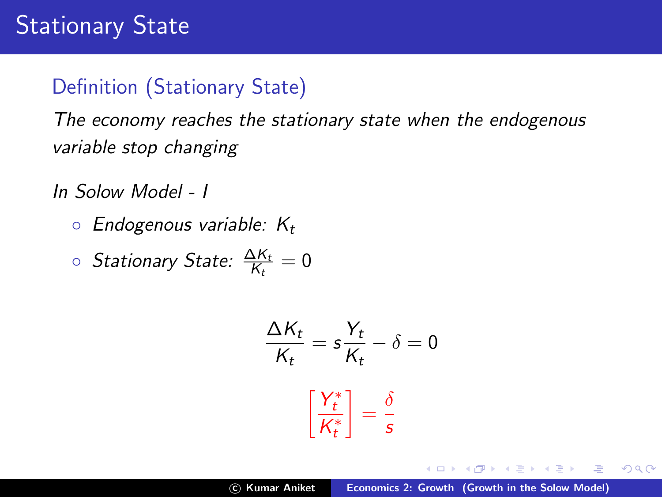### Definition (Stationary State)

The economy reaches the stationary state when the endogenous variable stop changing

In Solow Model - I

- $\circ$  Endogenous variable:  $K_t$
- $\circ$  Stationary State:  $\frac{\Delta K_t}{K_t}=0$

$$
\frac{\Delta K_t}{K_t} = s \frac{Y_t}{K_t} - \delta = 0
$$

$$
\left[\frac{Y_t^*}{K_t^*}\right] = \frac{\delta}{s}
$$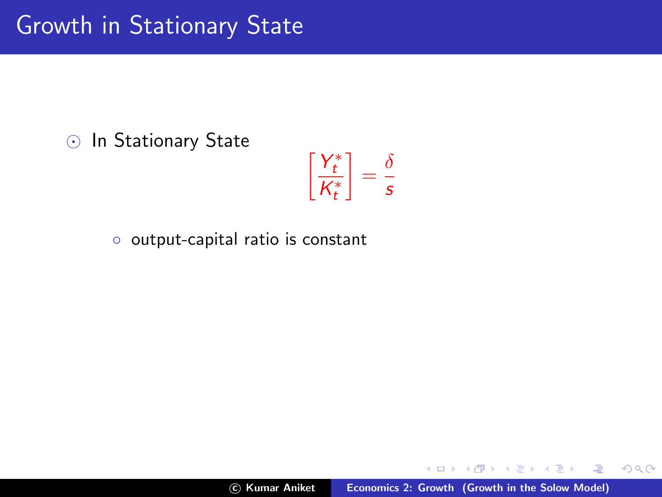**O** In Stationary State

$$
\left[\frac{Y_t^*}{K_t^*}\right] = \frac{\delta}{s}
$$

◦ output-capital ratio is constant

 $\leftarrow$   $\Box$ 

重

哇

**IN**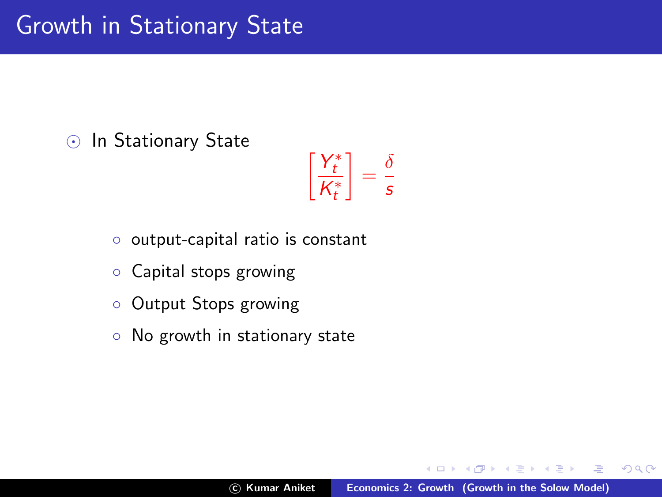**O** In Stationary State

$$
\left[\frac{Y_t^*}{K_t^*}\right] = \frac{\delta}{s}
$$

◦ output-capital ratio is constant

- Capital stops growing
- Output Stops growing
- No growth in stationary state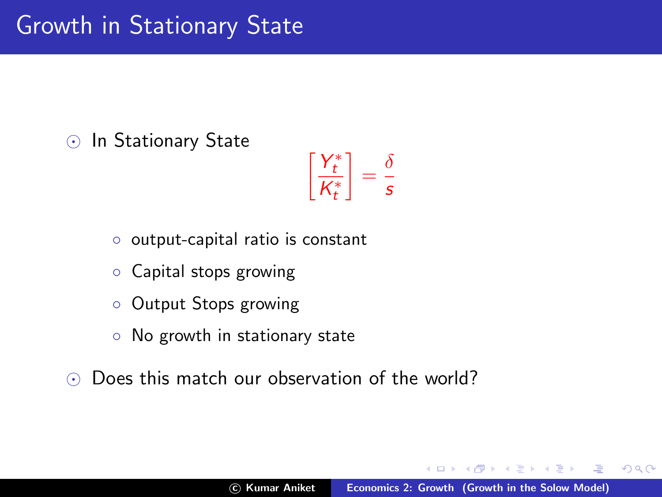**⊙** In Stationary State

$$
\left[\frac{Y_t^*}{K_t^*}\right] = \frac{\delta}{s}
$$

◦ output-capital ratio is constant

- Capital stops growing
- Output Stops growing
- No growth in stationary state
- $\odot$  Does this match our observation of the world?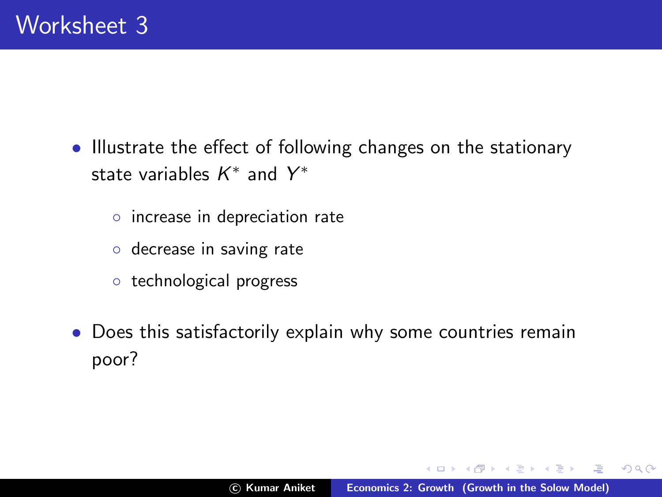- Illustrate the effect of following changes on the stationary state variables  $K^*$  and  $Y^*$ 
	- increase in depreciation rate
	- decrease in saving rate
	- technological progress
- Does this satisfactorily explain why some countries remain poor?

**A BAY A BA**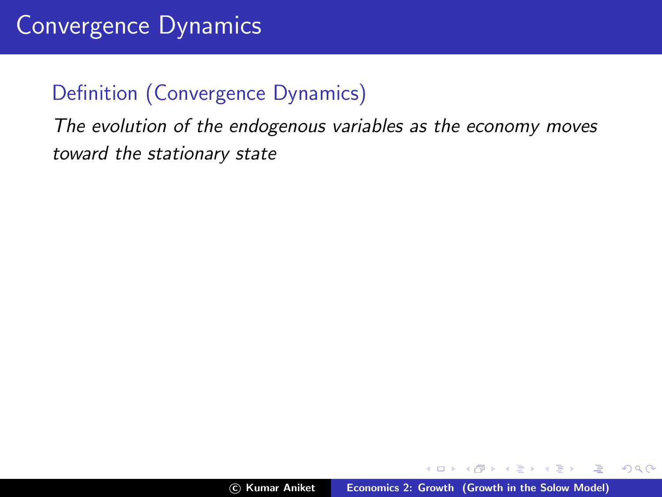The evolution of the endogenous variables as the economy moves toward the stationary state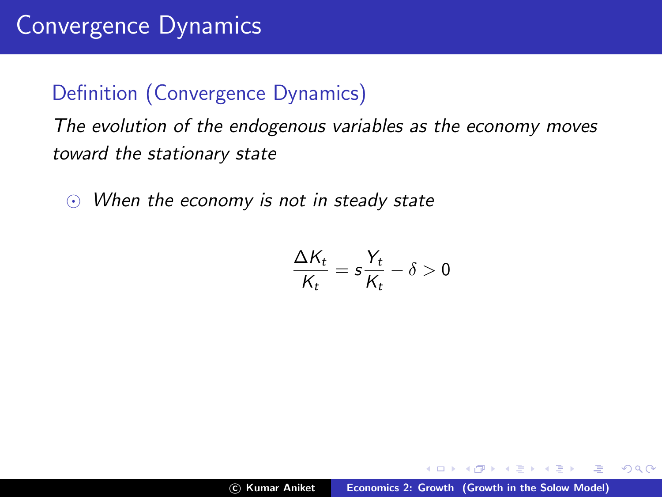The evolution of the endogenous variables as the economy moves toward the stationary state

 $\odot$  When the economy is not in steady state

$$
\frac{\Delta K_t}{K_t} = s\frac{Y_t}{K_t} - \delta > 0
$$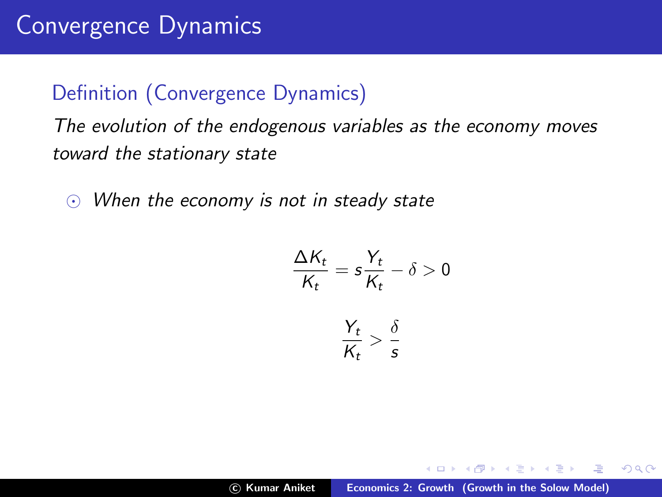The evolution of the endogenous variables as the economy moves toward the stationary state

 $\odot$  When the economy is not in steady state

$$
\frac{\Delta K_t}{K_t} = s \frac{Y_t}{K_t} - \delta > 0
$$

$$
\frac{Y_t}{K_t} > \frac{\delta}{s}
$$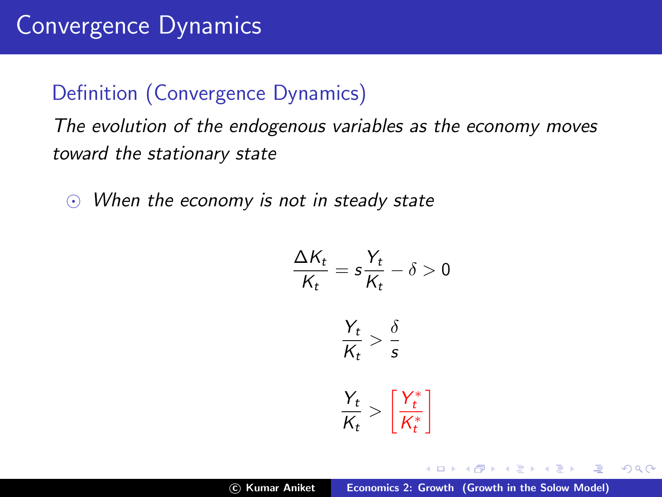The evolution of the endogenous variables as the economy moves toward the stationary state

 $\odot$  When the economy is not in steady state

$$
\frac{\Delta K_t}{K_t} = s \frac{Y_t}{K_t} - \delta > 0
$$

$$
\frac{Y_t}{K_t} > \frac{\delta}{s}
$$

$$
\frac{Y_t}{K_t} > \left[\frac{Y_t^*}{K_t^*}\right]
$$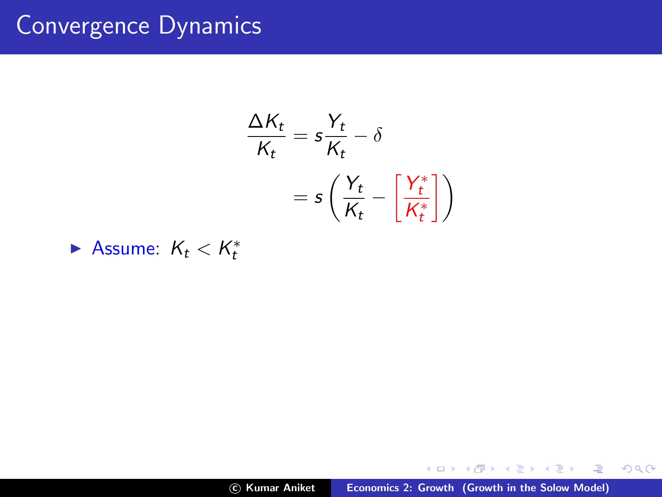$$
\frac{\Delta K_t}{K_t} = s \frac{Y_t}{K_t} - \delta
$$

$$
= s \left( \frac{Y_t}{K_t} - \left[ \frac{Y_t^*}{K_t^*} \right] \right)
$$

Assume:  $K_t < K_t^*$ 

a mills.

→ 御き す唐き す唐き

重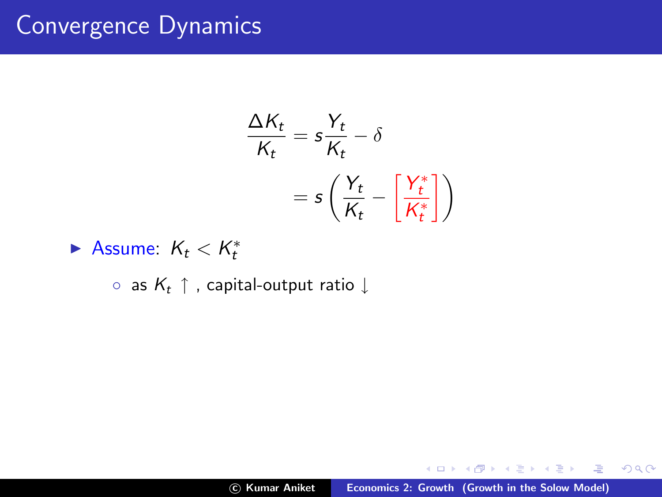$$
\frac{\Delta K_t}{K_t} = s \frac{Y_t}{K_t} - \delta
$$

$$
= s \left( \frac{Y_t}{K_t} - \left[ \frac{Y_t^*}{K_t^*} \right] \right)
$$

Assume:  $K_t < K_t^*$ 

○ as  $K_t$  ↑, capital-output ratio  $\downarrow$ 

a mills.

K 御 ▶ K 君 ▶ K 君 ▶

哇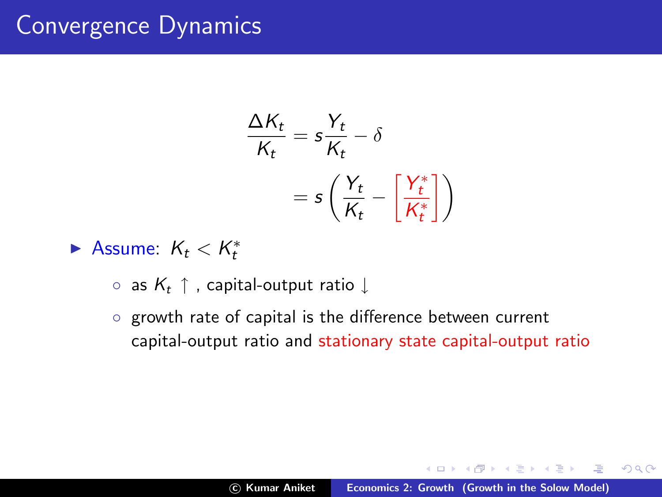$$
\frac{\Delta K_t}{K_t} = s \frac{Y_t}{K_t} - \delta
$$

$$
= s \left( \frac{Y_t}{K_t} - \left[ \frac{Y_t^*}{K_t^*} \right] \right)
$$

# Assume:  $K_t < K_t^*$

○ as  $K_t$  ↑, capital-output ratio  $\downarrow$ 

◦ growth rate of capital is the difference between current capital-output ratio and stationary state capital-output ratio

御 ▶ イヨ ▶ イヨ ▶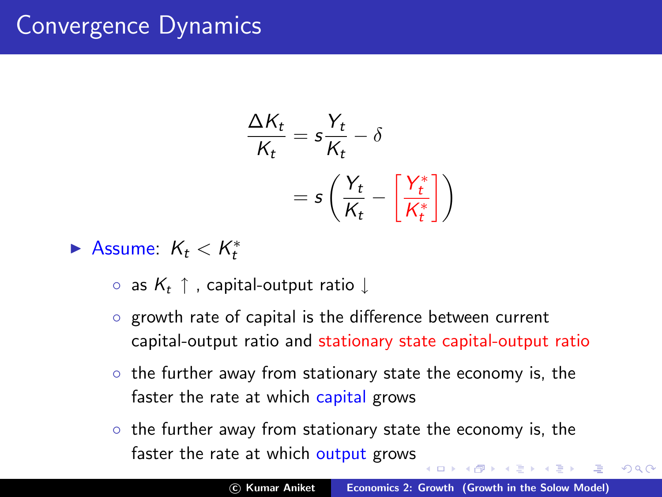$$
\frac{\Delta K_t}{K_t} = s \frac{Y_t}{K_t} - \delta
$$

$$
= s \left( \frac{Y_t}{K_t} - \left[ \frac{Y_t^*}{K_t^*} \right] \right)
$$

Assume:  $K_t < K_t^*$ 

○ as  $K_t$  ↑, capital-output ratio  $\downarrow$ 

- growth rate of capital is the difference between current capital-output ratio and stationary state capital-output ratio
- the further away from stationary state the economy is, the faster the rate at which capital grows
- the further away from stationary state the economy is, the faster the rate at which output grows

 $\Omega$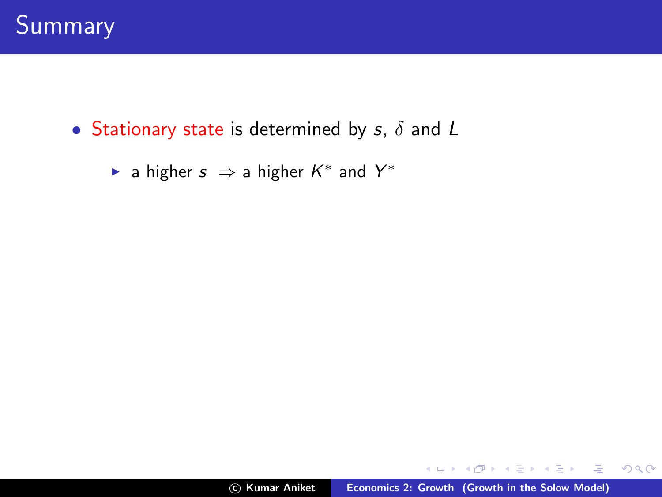- Stationary state is determined by  $s$ ,  $\delta$  and  $L$ 
	- ► a higher  $s \Rightarrow$  a higher  $K^*$  and  $Y^*$

a mills.

メタメメ ミメメ ミメ

哇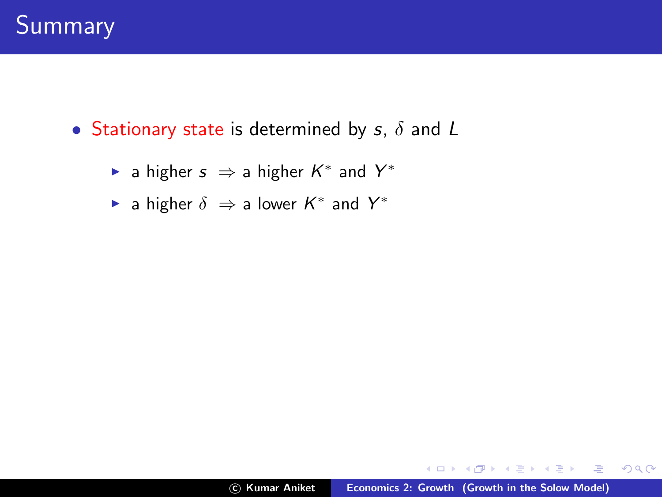

- Stationary state is determined by  $s$ ,  $\delta$  and  $L$ 
	- ► a higher  $s \Rightarrow$  a higher  $K^*$  and  $Y^*$
	- ► a higher  $\delta \Rightarrow$  a lower  $K^*$  and  $Y^*$

a mills.

K 御 ⊁ K 唐 ⊁ K 唐 ⊁

哇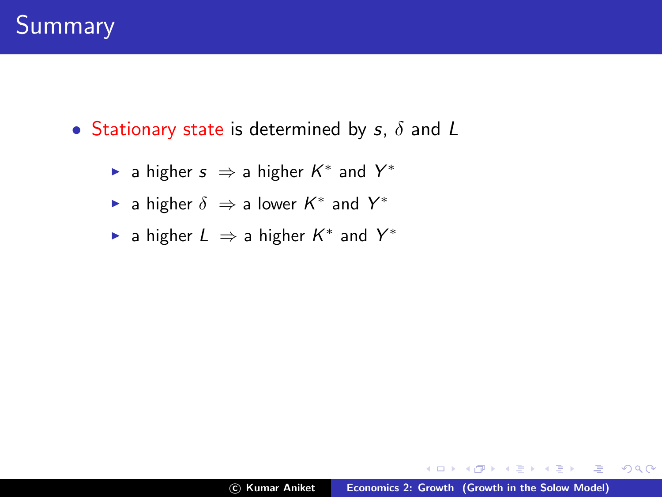

- Stationary state is determined by  $s$ ,  $\delta$  and  $L$ 
	- ► a higher  $s \Rightarrow$  a higher  $K^*$  and  $Y^*$
	- ► a higher  $\delta \Rightarrow$  a lower  $K^*$  and  $Y^*$
	- ► a higher  $L \Rightarrow$  a higher  $K^*$  and  $Y^*$

a mills.

 $4.50 \times 4.70 \times 4.70 \times$ 

哇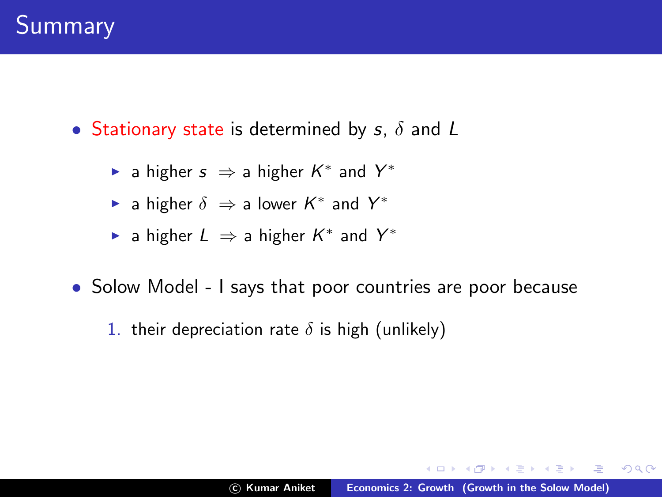- Stationary state is determined by  $s, \delta$  and  $L$ 
	- ► a higher  $s \Rightarrow$  a higher  $K^*$  and  $Y^*$
	- ► a higher  $\delta \Rightarrow$  a lower  $K^*$  and  $Y^*$
	- ► a higher  $L \Rightarrow$  a higher  $K^*$  and  $Y^*$
- Solow Model I says that poor countries are poor because
	- 1. their depreciation rate  $\delta$  is high (unlikely)

オター オラト オラト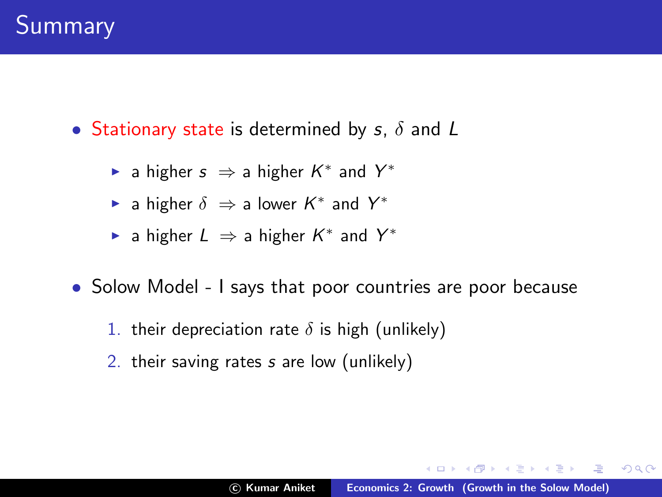- Stationary state is determined by s,  $\delta$  and L
	- ► a higher  $s \Rightarrow$  a higher  $K^*$  and  $Y^*$
	- ► a higher  $\delta \Rightarrow$  a lower  $K^*$  and  $Y^*$
	- ► a higher  $L \Rightarrow$  a higher  $K^*$  and  $Y^*$
- Solow Model I says that poor countries are poor because
	- 1. their depreciation rate  $\delta$  is high (unlikely)
	- 2. their saving rates s are low (unlikely)

イタン イラン イラン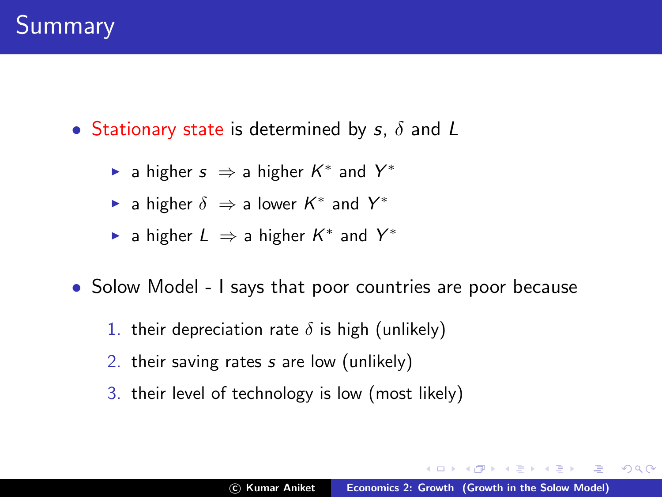- Stationary state is determined by s,  $\delta$  and L
	- ► a higher  $s \Rightarrow$  a higher  $K^*$  and  $Y^*$
	- ► a higher  $\delta \Rightarrow$  a lower  $K^*$  and  $Y^*$
	- ► a higher  $L \Rightarrow$  a higher  $K^*$  and  $Y^*$
- Solow Model I says that poor countries are poor because
	- 1. their depreciation rate  $\delta$  is high (unlikely)
	- 2. their saving rates s are low (unlikely)
	- 3. their level of technology is low (most likely)

オター オラト オラト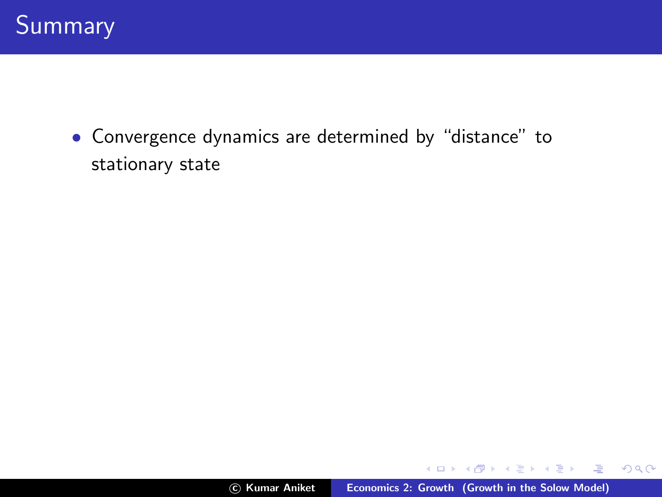• Convergence dynamics are determined by "distance" to stationary state

a mills.

K 御 ▶ K 君 ▶ K 君 ▶

重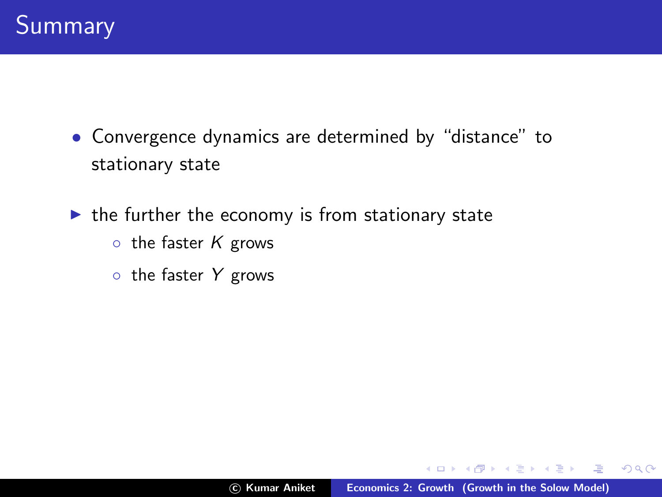- Convergence dynamics are determined by "distance" to stationary state
- $\blacktriangleright$  the further the economy is from stationary state
	- $\circ$  the faster K grows
	- the faster Y grows

医单位 医骨炎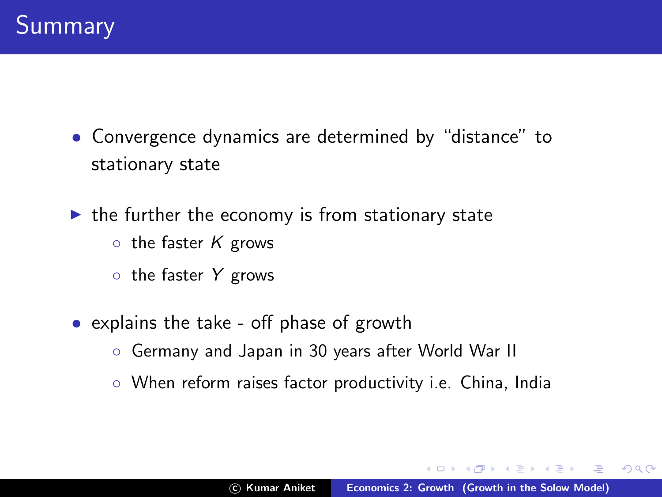- Convergence dynamics are determined by "distance" to stationary state
- $\blacktriangleright$  the further the economy is from stationary state
	- $\circ$  the faster K grows
	- the faster Y grows
- explains the take off phase of growth
	- Germany and Japan in 30 years after World War II
	- When reform raises factor productivity i.e. China, India

A + + = + + =

 $\Omega$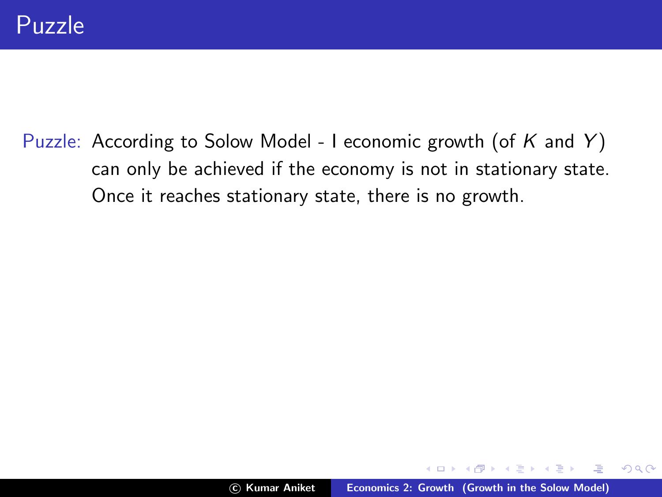Puzzle: According to Solow Model - I economic growth (of  $K$  and  $Y$ ) can only be achieved if the economy is not in stationary state. Once it reaches stationary state, there is no growth.

**A BAY A BA**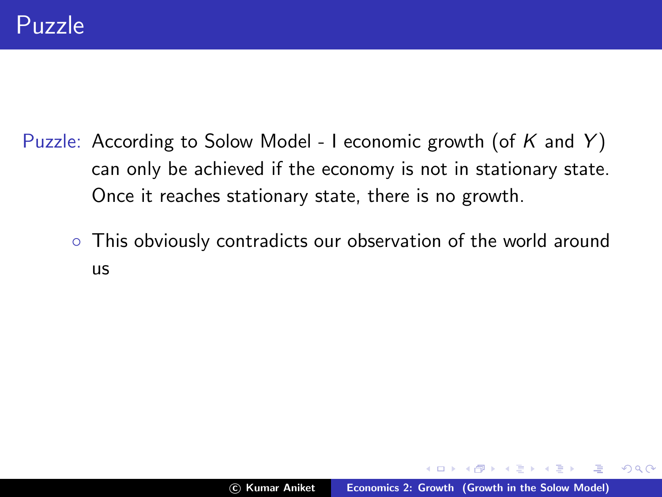- Puzzle: According to Solow Model I economic growth (of  $K$  and  $Y$ ) can only be achieved if the economy is not in stationary state. Once it reaches stationary state, there is no growth.
	- This obviously contradicts our observation of the world around us

→ 差 → → 差 →